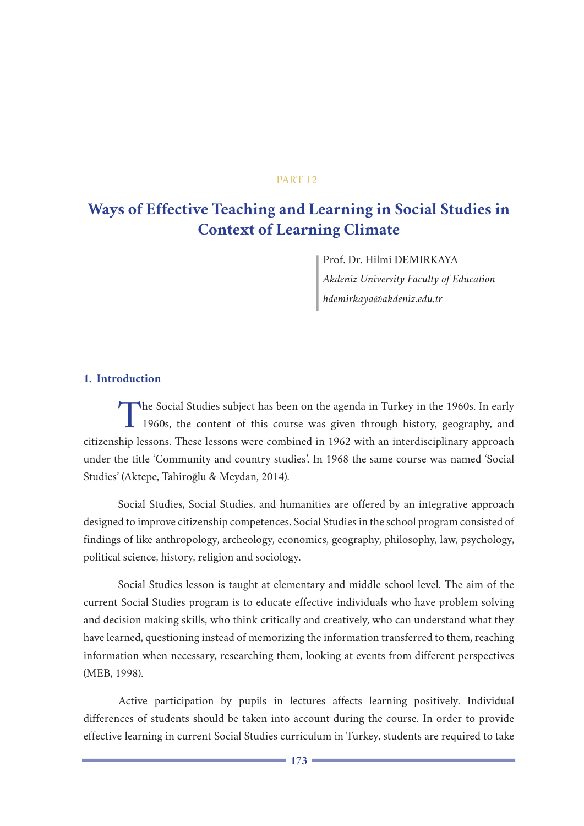### PART 12

# **Ways of Effective Teaching and Learning in Social Studies in Context of Learning Climate**

Prof. Dr. Hilmi DEMIRKAYA *Akdeniz University Faculty of Education hdemirkaya@akdeniz.edu.tr*

### **1. Introduction**

The Social Studies subject has been on the agenda in Turkey in the 1960s. In early 1960s, the content of this course was given through history, geography, and citizenship lessons. These lessons were combined in 1962 with an interdisciplinary approach under the title 'Community and country studies'. In 1968 the same course was named 'Social Studies' (Aktepe, Tahiroğlu & Meydan, 2014).

Social Studies, Social Studies, and humanities are offered by an integrative approach designed to improve citizenship competences. Social Studies in the school program consisted of findings of like anthropology, archeology, economics, geography, philosophy, law, psychology, political science, history, religion and sociology.

Social Studies lesson is taught at elementary and middle school level. The aim of the current Social Studies program is to educate effective individuals who have problem solving and decision making skills, who think critically and creatively, who can understand what they have learned, questioning instead of memorizing the information transferred to them, reaching information when necessary, researching them, looking at events from different perspectives (MEB, 1998).

Active participation by pupils in lectures affects learning positively. Individual differences of students should be taken into account during the course. In order to provide effective learning in current Social Studies curriculum in Turkey, students are required to take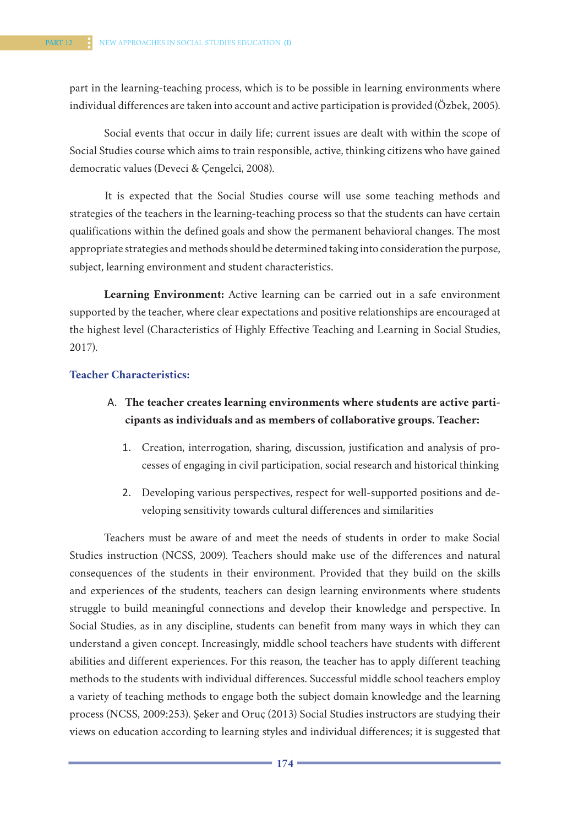part in the learning-teaching process, which is to be possible in learning environments where individual differences are taken into account and active participation is provided (Özbek, 2005).

Social events that occur in daily life; current issues are dealt with within the scope of Social Studies course which aims to train responsible, active, thinking citizens who have gained democratic values (Deveci & Çengelci, 2008).

It is expected that the Social Studies course will use some teaching methods and strategies of the teachers in the learning-teaching process so that the students can have certain qualifications within the defined goals and show the permanent behavioral changes. The most appropriate strategies and methods should be determined taking into consideration the purpose, subject, learning environment and student characteristics.

**Learning Environment:** Active learning can be carried out in a safe environment supported by the teacher, where clear expectations and positive relationships are encouraged at the highest level (Characteristics of Highly Effective Teaching and Learning in Social Studies, 2017).

### **Teacher Characteristics:**

- A. **The teacher creates learning environments where students are active participants as individuals and as members of collaborative groups. Teacher:** 
	- 1. Creation, interrogation, sharing, discussion, justification and analysis of processes of engaging in civil participation, social research and historical thinking
	- 2. Developing various perspectives, respect for well-supported positions and developing sensitivity towards cultural differences and similarities

Teachers must be aware of and meet the needs of students in order to make Social Studies instruction (NCSS, 2009). Teachers should make use of the differences and natural consequences of the students in their environment. Provided that they build on the skills and experiences of the students, teachers can design learning environments where students struggle to build meaningful connections and develop their knowledge and perspective. In Social Studies, as in any discipline, students can benefit from many ways in which they can understand a given concept. Increasingly, middle school teachers have students with different abilities and different experiences. For this reason, the teacher has to apply different teaching methods to the students with individual differences. Successful middle school teachers employ a variety of teaching methods to engage both the subject domain knowledge and the learning process (NCSS, 2009:253). Şeker and Oruç (2013) Social Studies instructors are studying their views on education according to learning styles and individual differences; it is suggested that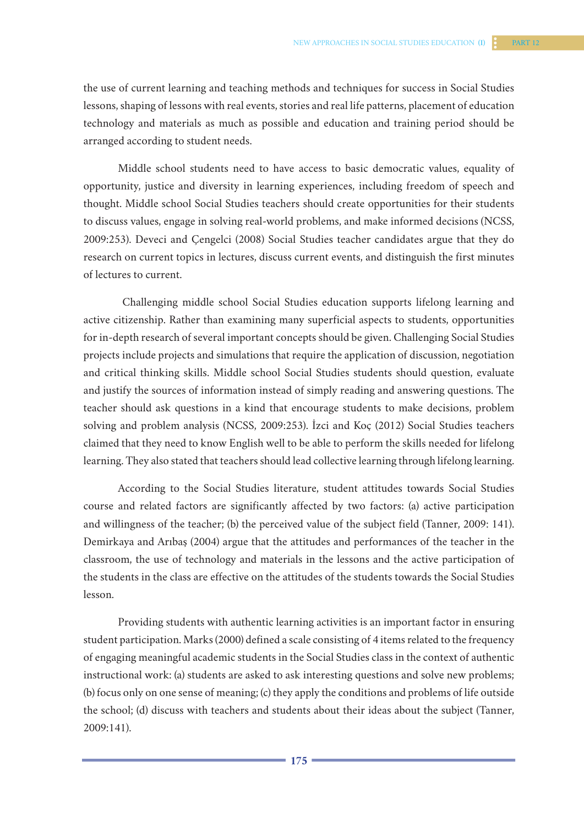the use of current learning and teaching methods and techniques for success in Social Studies lessons, shaping of lessons with real events, stories and real life patterns, placement of education technology and materials as much as possible and education and training period should be arranged according to student needs.

Middle school students need to have access to basic democratic values, equality of opportunity, justice and diversity in learning experiences, including freedom of speech and thought. Middle school Social Studies teachers should create opportunities for their students to discuss values, engage in solving real-world problems, and make informed decisions (NCSS, 2009:253). Deveci and Çengelci (2008) Social Studies teacher candidates argue that they do research on current topics in lectures, discuss current events, and distinguish the first minutes of lectures to current.

 Challenging middle school Social Studies education supports lifelong learning and active citizenship. Rather than examining many superficial aspects to students, opportunities for in-depth research of several important concepts should be given. Challenging Social Studies projects include projects and simulations that require the application of discussion, negotiation and critical thinking skills. Middle school Social Studies students should question, evaluate and justify the sources of information instead of simply reading and answering questions. The teacher should ask questions in a kind that encourage students to make decisions, problem solving and problem analysis (NCSS, 2009:253). İzci and Koç (2012) Social Studies teachers claimed that they need to know English well to be able to perform the skills needed for lifelong learning. They also stated that teachers should lead collective learning through lifelong learning.

According to the Social Studies literature, student attitudes towards Social Studies course and related factors are significantly affected by two factors: (a) active participation and willingness of the teacher; (b) the perceived value of the subject field (Tanner, 2009: 141). Demirkaya and Arıbaş (2004) argue that the attitudes and performances of the teacher in the classroom, the use of technology and materials in the lessons and the active participation of the students in the class are effective on the attitudes of the students towards the Social Studies lesson.

Providing students with authentic learning activities is an important factor in ensuring student participation. Marks (2000) defined a scale consisting of 4 items related to the frequency of engaging meaningful academic students in the Social Studies class in the context of authentic instructional work: (a) students are asked to ask interesting questions and solve new problems; (b) focus only on one sense of meaning; (c) they apply the conditions and problems of life outside the school; (d) discuss with teachers and students about their ideas about the subject (Tanner, 2009:141).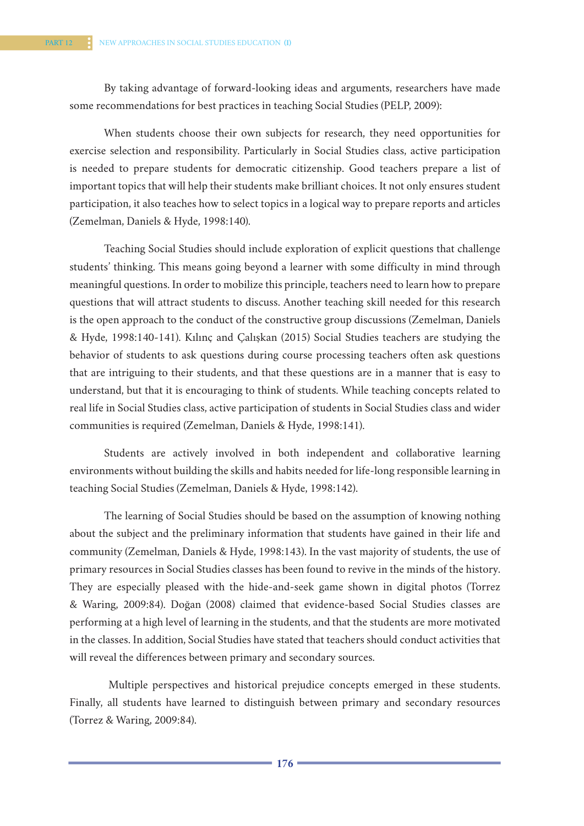By taking advantage of forward-looking ideas and arguments, researchers have made some recommendations for best practices in teaching Social Studies (PELP, 2009):

When students choose their own subjects for research, they need opportunities for exercise selection and responsibility. Particularly in Social Studies class, active participation is needed to prepare students for democratic citizenship. Good teachers prepare a list of important topics that will help their students make brilliant choices. It not only ensures student participation, it also teaches how to select topics in a logical way to prepare reports and articles (Zemelman, Daniels & Hyde, 1998:140).

Teaching Social Studies should include exploration of explicit questions that challenge students' thinking. This means going beyond a learner with some difficulty in mind through meaningful questions. In order to mobilize this principle, teachers need to learn how to prepare questions that will attract students to discuss. Another teaching skill needed for this research is the open approach to the conduct of the constructive group discussions (Zemelman, Daniels & Hyde, 1998:140-141). Kılınç and Çalışkan (2015) Social Studies teachers are studying the behavior of students to ask questions during course processing teachers often ask questions that are intriguing to their students, and that these questions are in a manner that is easy to understand, but that it is encouraging to think of students. While teaching concepts related to real life in Social Studies class, active participation of students in Social Studies class and wider communities is required (Zemelman, Daniels & Hyde, 1998:141).

Students are actively involved in both independent and collaborative learning environments without building the skills and habits needed for life-long responsible learning in teaching Social Studies (Zemelman, Daniels & Hyde, 1998:142).

The learning of Social Studies should be based on the assumption of knowing nothing about the subject and the preliminary information that students have gained in their life and community (Zemelman, Daniels & Hyde, 1998:143). In the vast majority of students, the use of primary resources in Social Studies classes has been found to revive in the minds of the history. They are especially pleased with the hide-and-seek game shown in digital photos (Torrez & Waring, 2009:84). Doğan (2008) claimed that evidence-based Social Studies classes are performing at a high level of learning in the students, and that the students are more motivated in the classes. In addition, Social Studies have stated that teachers should conduct activities that will reveal the differences between primary and secondary sources.

 Multiple perspectives and historical prejudice concepts emerged in these students. Finally, all students have learned to distinguish between primary and secondary resources (Torrez & Waring, 2009:84).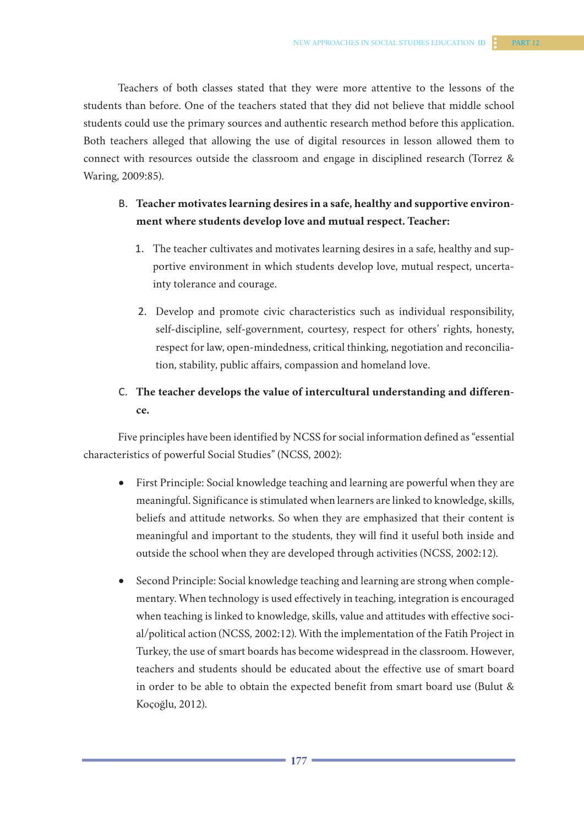Teachers of both classes stated that they were more attentive to the lessons of the students than before. One of the teachers stated that they did not believe that middle school students could use the primary sources and authentic research method before this application. Both teachers alleged that allowing the use of digital resources in lesson allowed them to connect with resources outside the classroom and engage in disciplined research (Torrez & Waring, 2009:85).

# B. **Teacher motivates learning desires in a safe, healthy and supportive environment where students develop love and mutual respect. Teacher:**

- 1. The teacher cultivates and motivates learning desires in a safe, healthy and supportive environment in which students develop love, mutual respect, uncertainty tolerance and courage.
- 2. Develop and promote civic characteristics such as individual responsibility, self-discipline, self-government, courtesy, respect for others' rights, honesty, respect for law, open-mindedness, critical thinking, negotiation and reconciliation, stability, public affairs, compassion and homeland love.

# C. **The teacher develops the value of intercultural understanding and difference.**

Five principles have been identified by NCSS for social information defined as "essential characteristics of powerful Social Studies" (NCSS, 2002):

- First Principle: Social knowledge teaching and learning are powerful when they are meaningful. Significance is stimulated when learners are linked to knowledge, skills, beliefs and attitude networks. So when they are emphasized that their content is meaningful and important to the students, they will find it useful both inside and outside the school when they are developed through activities (NCSS, 2002:12).
- Second Principle: Social knowledge teaching and learning are strong when complementary. When technology is used effectively in teaching, integration is encouraged when teaching is linked to knowledge, skills, value and attitudes with effective social/political action (NCSS, 2002:12). With the implementation of the Fatih Project in Turkey, the use of smart boards has become widespread in the classroom. However, teachers and students should be educated about the effective use of smart board in order to be able to obtain the expected benefit from smart board use (Bulut & Koçoğlu, 2012).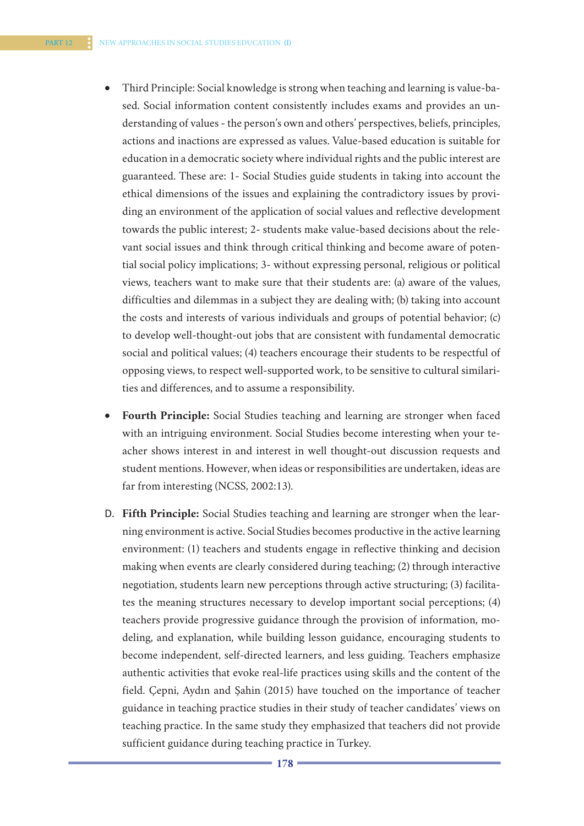- Third Principle: Social knowledge is strong when teaching and learning is value-based. Social information content consistently includes exams and provides an understanding of values - the person's own and others' perspectives, beliefs, principles, actions and inactions are expressed as values. Value-based education is suitable for education in a democratic society where individual rights and the public interest are guaranteed. These are: 1- Social Studies guide students in taking into account the ethical dimensions of the issues and explaining the contradictory issues by providing an environment of the application of social values and reflective development towards the public interest; 2- students make value-based decisions about the relevant social issues and think through critical thinking and become aware of potential social policy implications; 3- without expressing personal, religious or political views, teachers want to make sure that their students are: (a) aware of the values, difficulties and dilemmas in a subject they are dealing with; (b) taking into account the costs and interests of various individuals and groups of potential behavior; (c) to develop well-thought-out jobs that are consistent with fundamental democratic social and political values; (4) teachers encourage their students to be respectful of opposing views, to respect well-supported work, to be sensitive to cultural similarities and differences, and to assume a responsibility.
- Fourth Principle: Social Studies teaching and learning are stronger when faced with an intriguing environment. Social Studies become interesting when your teacher shows interest in and interest in well thought-out discussion requests and student mentions. However, when ideas or responsibilities are undertaken, ideas are far from interesting (NCSS, 2002:13).
- D. **Fifth Principle:** Social Studies teaching and learning are stronger when the learning environment is active. Social Studies becomes productive in the active learning environment: (1) teachers and students engage in reflective thinking and decision making when events are clearly considered during teaching; (2) through interactive negotiation, students learn new perceptions through active structuring; (3) facilitates the meaning structures necessary to develop important social perceptions; (4) teachers provide progressive guidance through the provision of information, modeling, and explanation, while building lesson guidance, encouraging students to become independent, self-directed learners, and less guiding. Teachers emphasize authentic activities that evoke real-life practices using skills and the content of the field. Çepni, Aydın and Şahin (2015) have touched on the importance of teacher guidance in teaching practice studies in their study of teacher candidates' views on teaching practice. In the same study they emphasized that teachers did not provide sufficient guidance during teaching practice in Turkey.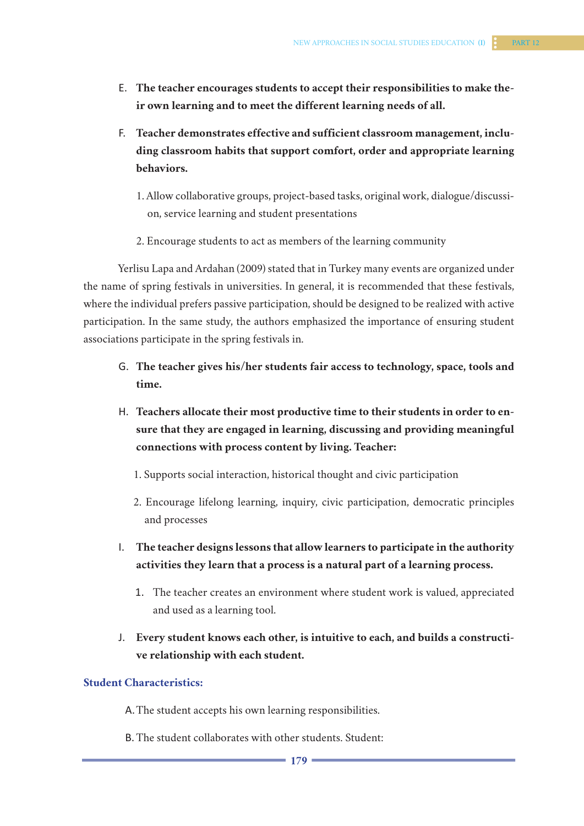- E. **The teacher encourages students to accept their responsibilities to make their own learning and to meet the different learning needs of all.**
- F. **Teacher demonstrates effective and sufficient classroom management, including classroom habits that support comfort, order and appropriate learning behaviors.**
	- 1. Allow collaborative groups, project-based tasks, original work, dialogue/discussion, service learning and student presentations
	- 2. Encourage students to act as members of the learning community

Yerlisu Lapa and Ardahan (2009) stated that in Turkey many events are organized under the name of spring festivals in universities. In general, it is recommended that these festivals, where the individual prefers passive participation, should be designed to be realized with active participation. In the same study, the authors emphasized the importance of ensuring student associations participate in the spring festivals in.

- G. **The teacher gives his/her students fair access to technology, space, tools and time.**
- H. **Teachers allocate their most productive time to their students in order to ensure that they are engaged in learning, discussing and providing meaningful connections with process content by living. Teacher:** 
	- 1. Supports social interaction, historical thought and civic participation
	- 2. Encourage lifelong learning, inquiry, civic participation, democratic principles and processes
- I. **The teacher designs lessons that allow learners to participate in the authority activities they learn that a process is a natural part of a learning process.**
	- 1. The teacher creates an environment where student work is valued, appreciated and used as a learning tool.
- J. **Every student knows each other, is intuitive to each, and builds a constructive relationship with each student.**

## **Student Characteristics:**

A.The student accepts his own learning responsibilities.

B.The student collaborates with other students. Student: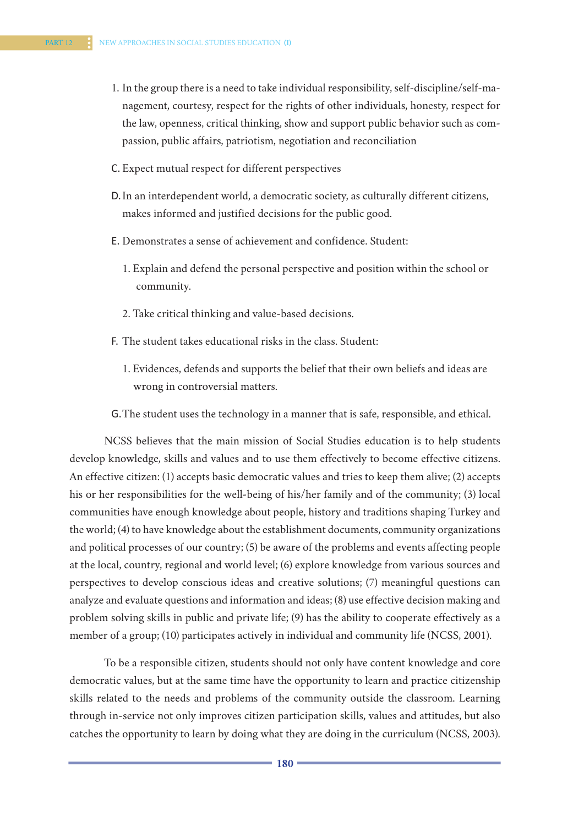- 1. In the group there is a need to take individual responsibility, self-discipline/self-management, courtesy, respect for the rights of other individuals, honesty, respect for the law, openness, critical thinking, show and support public behavior such as compassion, public affairs, patriotism, negotiation and reconciliation
- C. Expect mutual respect for different perspectives
- D.In an interdependent world, a democratic society, as culturally different citizens, makes informed and justified decisions for the public good.
- E. Demonstrates a sense of achievement and confidence. Student:
	- 1. Explain and defend the personal perspective and position within the school or community.
	- 2. Take critical thinking and value-based decisions.
- F. The student takes educational risks in the class. Student:
	- 1. Evidences, defends and supports the belief that their own beliefs and ideas are wrong in controversial matters.
- G.The student uses the technology in a manner that is safe, responsible, and ethical.

NCSS believes that the main mission of Social Studies education is to help students develop knowledge, skills and values and to use them effectively to become effective citizens. An effective citizen: (1) accepts basic democratic values and tries to keep them alive; (2) accepts his or her responsibilities for the well-being of his/her family and of the community; (3) local communities have enough knowledge about people, history and traditions shaping Turkey and the world; (4) to have knowledge about the establishment documents, community organizations and political processes of our country; (5) be aware of the problems and events affecting people at the local, country, regional and world level; (6) explore knowledge from various sources and perspectives to develop conscious ideas and creative solutions; (7) meaningful questions can analyze and evaluate questions and information and ideas; (8) use effective decision making and problem solving skills in public and private life; (9) has the ability to cooperate effectively as a member of a group; (10) participates actively in individual and community life (NCSS, 2001).

To be a responsible citizen, students should not only have content knowledge and core democratic values, but at the same time have the opportunity to learn and practice citizenship skills related to the needs and problems of the community outside the classroom. Learning through in-service not only improves citizen participation skills, values and attitudes, but also catches the opportunity to learn by doing what they are doing in the curriculum (NCSS, 2003).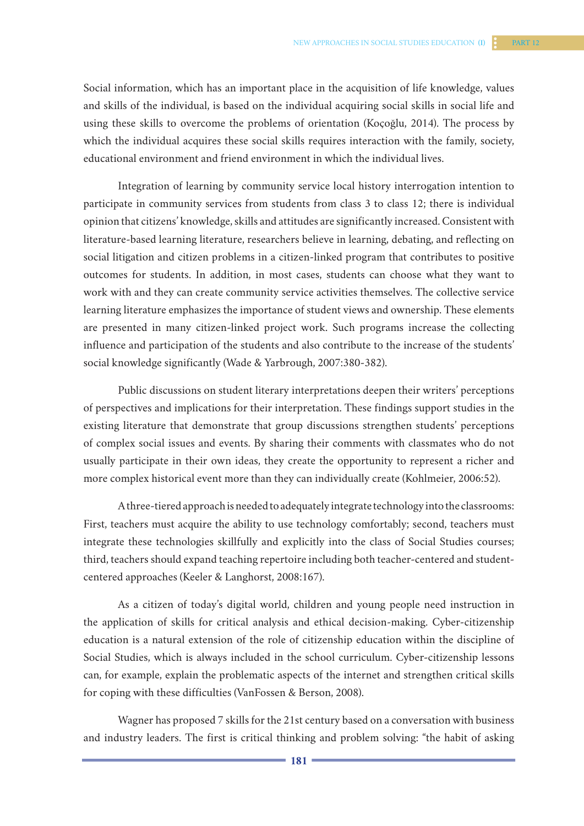Social information, which has an important place in the acquisition of life knowledge, values and skills of the individual, is based on the individual acquiring social skills in social life and using these skills to overcome the problems of orientation (Koçoğlu, 2014). The process by which the individual acquires these social skills requires interaction with the family, society, educational environment and friend environment in which the individual lives.

Integration of learning by community service local history interrogation intention to participate in community services from students from class 3 to class 12; there is individual opinion that citizens' knowledge, skills and attitudes are significantly increased. Consistent with literature-based learning literature, researchers believe in learning, debating, and reflecting on social litigation and citizen problems in a citizen-linked program that contributes to positive outcomes for students. In addition, in most cases, students can choose what they want to work with and they can create community service activities themselves. The collective service learning literature emphasizes the importance of student views and ownership. These elements are presented in many citizen-linked project work. Such programs increase the collecting influence and participation of the students and also contribute to the increase of the students' social knowledge significantly (Wade & Yarbrough, 2007:380-382).

Public discussions on student literary interpretations deepen their writers' perceptions of perspectives and implications for their interpretation. These findings support studies in the existing literature that demonstrate that group discussions strengthen students' perceptions of complex social issues and events. By sharing their comments with classmates who do not usually participate in their own ideas, they create the opportunity to represent a richer and more complex historical event more than they can individually create (Kohlmeier, 2006:52).

A three-tiered approach is needed to adequately integrate technology into the classrooms: First, teachers must acquire the ability to use technology comfortably; second, teachers must integrate these technologies skillfully and explicitly into the class of Social Studies courses; third, teachers should expand teaching repertoire including both teacher-centered and studentcentered approaches (Keeler & Langhorst, 2008:167).

As a citizen of today's digital world, children and young people need instruction in the application of skills for critical analysis and ethical decision-making. Cyber-citizenship education is a natural extension of the role of citizenship education within the discipline of Social Studies, which is always included in the school curriculum. Cyber-citizenship lessons can, for example, explain the problematic aspects of the internet and strengthen critical skills for coping with these difficulties (VanFossen & Berson, 2008).

Wagner has proposed 7 skills for the 21st century based on a conversation with business and industry leaders. The first is critical thinking and problem solving: "the habit of asking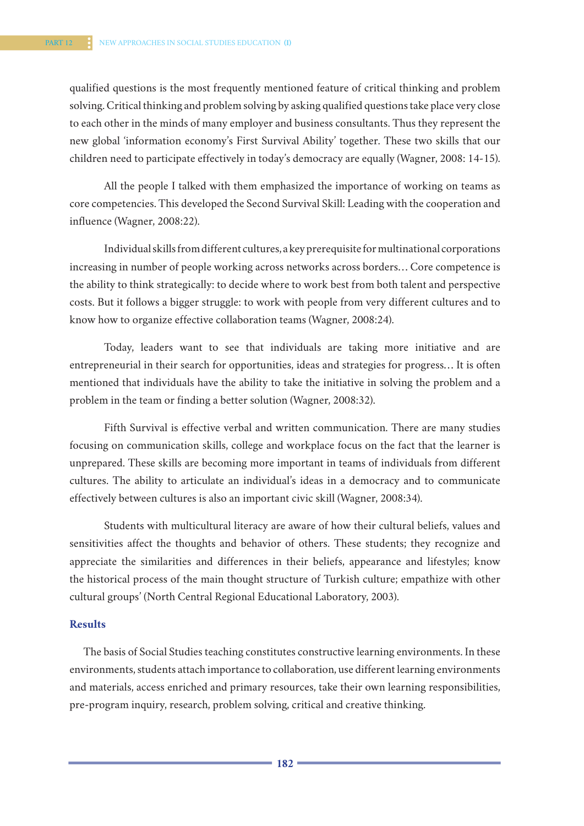qualified questions is the most frequently mentioned feature of critical thinking and problem solving. Critical thinking and problem solving by asking qualified questions take place very close to each other in the minds of many employer and business consultants. Thus they represent the new global 'information economy's First Survival Ability' together. These two skills that our children need to participate effectively in today's democracy are equally (Wagner, 2008: 14-15).

All the people I talked with them emphasized the importance of working on teams as core competencies. This developed the Second Survival Skill: Leading with the cooperation and influence (Wagner, 2008:22).

Individual skills from different cultures, a key prerequisite for multinational corporations increasing in number of people working across networks across borders… Core competence is the ability to think strategically: to decide where to work best from both talent and perspective costs. But it follows a bigger struggle: to work with people from very different cultures and to know how to organize effective collaboration teams (Wagner, 2008:24).

Today, leaders want to see that individuals are taking more initiative and are entrepreneurial in their search for opportunities, ideas and strategies for progress… It is often mentioned that individuals have the ability to take the initiative in solving the problem and a problem in the team or finding a better solution (Wagner, 2008:32).

Fifth Survival is effective verbal and written communication. There are many studies focusing on communication skills, college and workplace focus on the fact that the learner is unprepared. These skills are becoming more important in teams of individuals from different cultures. The ability to articulate an individual's ideas in a democracy and to communicate effectively between cultures is also an important civic skill (Wagner, 2008:34).

Students with multicultural literacy are aware of how their cultural beliefs, values and sensitivities affect the thoughts and behavior of others. These students; they recognize and appreciate the similarities and differences in their beliefs, appearance and lifestyles; know the historical process of the main thought structure of Turkish culture; empathize with other cultural groups' (North Central Regional Educational Laboratory, 2003).

#### **Results**

The basis of Social Studies teaching constitutes constructive learning environments. In these environments, students attach importance to collaboration, use different learning environments and materials, access enriched and primary resources, take their own learning responsibilities, pre-program inquiry, research, problem solving, critical and creative thinking.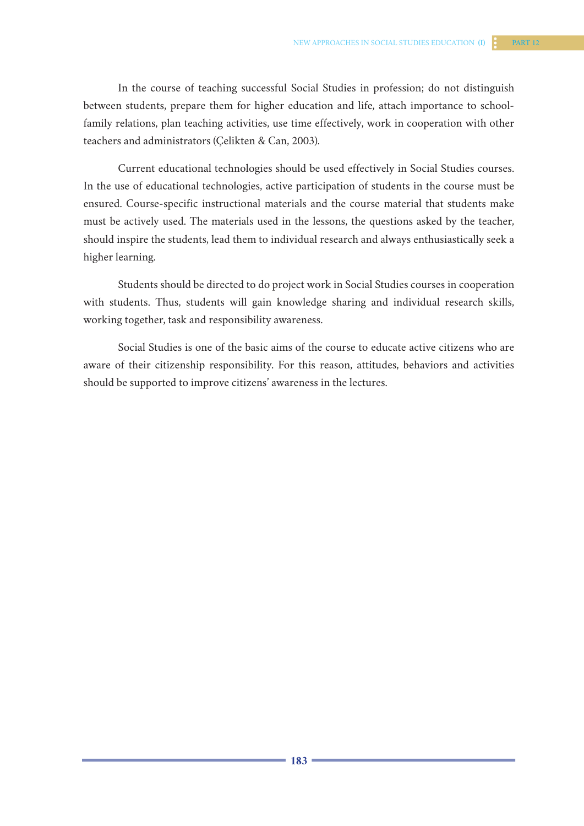In the course of teaching successful Social Studies in profession; do not distinguish between students, prepare them for higher education and life, attach importance to schoolfamily relations, plan teaching activities, use time effectively, work in cooperation with other teachers and administrators (Çelikten & Can, 2003).

Current educational technologies should be used effectively in Social Studies courses. In the use of educational technologies, active participation of students in the course must be ensured. Course-specific instructional materials and the course material that students make must be actively used. The materials used in the lessons, the questions asked by the teacher, should inspire the students, lead them to individual research and always enthusiastically seek a higher learning.

Students should be directed to do project work in Social Studies courses in cooperation with students. Thus, students will gain knowledge sharing and individual research skills, working together, task and responsibility awareness.

Social Studies is one of the basic aims of the course to educate active citizens who are aware of their citizenship responsibility. For this reason, attitudes, behaviors and activities should be supported to improve citizens' awareness in the lectures.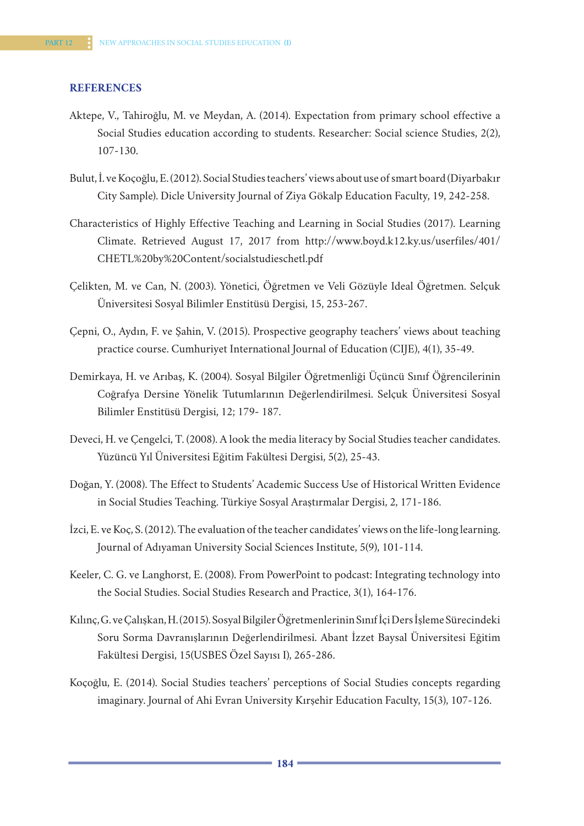### **REFERENCES**

- Aktepe, V., Tahiroğlu, M. ve Meydan, A. (2014). Expectation from primary school effective a Social Studies education according to students. Researcher: Social science Studies, 2(2), 107-130.
- Bulut, İ. ve Koçoğlu, E. (2012). Social Studies teachers' views about use of smart board (Diyarbakır City Sample). Dicle University Journal of Ziya Gökalp Education Faculty, 19, 242-258.
- Characteristics of Highly Effective Teaching and Learning in Social Studies (2017). Learning Climate. Retrieved August 17, 2017 from http://www.boyd.k12.ky.us/userfiles/401/ CHETL%20by%20Content/socialstudieschetl.pdf
- Çelikten, M. ve Can, N. (2003). Yönetici, Öğretmen ve Veli Gözüyle Ideal Öğretmen. Selçuk Üniversitesi Sosyal Bilimler Enstitüsü Dergisi, 15, 253-267.
- Çepni, O., Aydın, F. ve Şahin, V. (2015). Prospective geography teachers' views about teaching practice course. Cumhuriyet International Journal of Education (CIJE), 4(1), 35-49.
- Demirkaya, H. ve Arıbaş, K. (2004). Sosyal Bilgiler Öğretmenliği Üçüncü Sınıf Öğrencilerinin Coğrafya Dersine Yönelik Tutumlarının Değerlendirilmesi. Selçuk Üniversitesi Sosyal Bilimler Enstitüsü Dergisi, 12; 179- 187.
- Deveci, H. ve Çengelci, T. (2008). A look the media literacy by Social Studies teacher candidates. Yüzüncü Yıl Üniversitesi Eğitim Fakültesi Dergisi, 5(2), 25-43.
- Doğan, Y. (2008). The Effect to Students' Academic Success Use of Historical Written Evidence in Social Studies Teaching. Türkiye Sosyal Araştırmalar Dergisi, 2, 171-186.
- İzci, E. ve Koç, S. (2012). The evaluation of the teacher candidates' views on the life-long learning. Journal of Adıyaman University Social Sciences Institute, 5(9), 101-114.
- Keeler, C. G. ve Langhorst, E. (2008). From PowerPoint to podcast: Integrating technology into the Social Studies. Social Studies Research and Practice, 3(1), 164-176.
- Kılınç, G. ve Çalışkan, H. (2015). Sosyal Bilgiler Öğretmenlerinin Sınıf İçi Ders İşleme Sürecindeki Soru Sorma Davranışlarının Değerlendirilmesi. Abant İzzet Baysal Üniversitesi Eğitim Fakültesi Dergisi, 15(USBES Özel Sayısı I), 265-286.
- Koçoğlu, E. (2014). Social Studies teachers' perceptions of Social Studies concepts regarding imaginary. Journal of Ahi Evran University Kırşehir Education Faculty, 15(3), 107-126.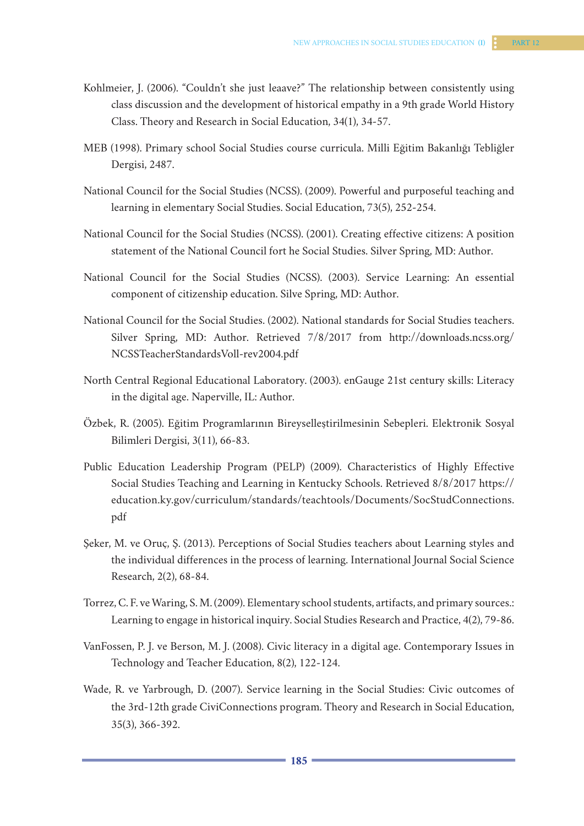- Kohlmeier, J. (2006). "Couldn't she just leaave?" The relationship between consistently using class discussion and the development of historical empathy in a 9th grade World History Class. Theory and Research in Social Education, 34(1), 34-57.
- MEB (1998). Primary school Social Studies course curricula. Milli Eğitim Bakanlığı Tebliğler Dergisi, 2487.
- National Council for the Social Studies (NCSS). (2009). Powerful and purposeful teaching and learning in elementary Social Studies. Social Education, 73(5), 252-254.
- National Council for the Social Studies (NCSS). (2001). Creating effective citizens: A position statement of the National Council fort he Social Studies. Silver Spring, MD: Author.
- National Council for the Social Studies (NCSS). (2003). Service Learning: An essential component of citizenship education. Silve Spring, MD: Author.
- National Council for the Social Studies. (2002). National standards for Social Studies teachers. Silver Spring, MD: Author. Retrieved 7/8/2017 from http://downloads.ncss.org/ NCSSTeacherStandardsVoll-rev2004.pdf
- North Central Regional Educational Laboratory. (2003). enGauge 21st century skills: Literacy in the digital age. Naperville, IL: Author.
- Özbek, R. (2005). Eğitim Programlarının Bireyselleştirilmesinin Sebepleri. Elektronik Sosyal Bilimleri Dergisi, 3(11), 66-83.
- Public Education Leadership Program (PELP) (2009). Characteristics of Highly Effective Social Studies Teaching and Learning in Kentucky Schools. Retrieved 8/8/2017 https:// education.ky.gov/curriculum/standards/teachtools/Documents/SocStudConnections. pdf
- Şeker, M. ve Oruç, Ş. (2013). Perceptions of Social Studies teachers about Learning styles and the individual differences in the process of learning. International Journal Social Science Research, 2(2), 68-84.
- Torrez, C. F. ve Waring, S. M. (2009). Elementary school students, artifacts, and primary sources.: Learning to engage in historical inquiry. Social Studies Research and Practice, 4(2), 79-86.
- VanFossen, P. J. ve Berson, M. J. (2008). Civic literacy in a digital age. Contemporary Issues in Technology and Teacher Education, 8(2), 122-124.
- Wade, R. ve Yarbrough, D. (2007). Service learning in the Social Studies: Civic outcomes of the 3rd-12th grade CiviConnections program. Theory and Research in Social Education, 35(3), 366-392.